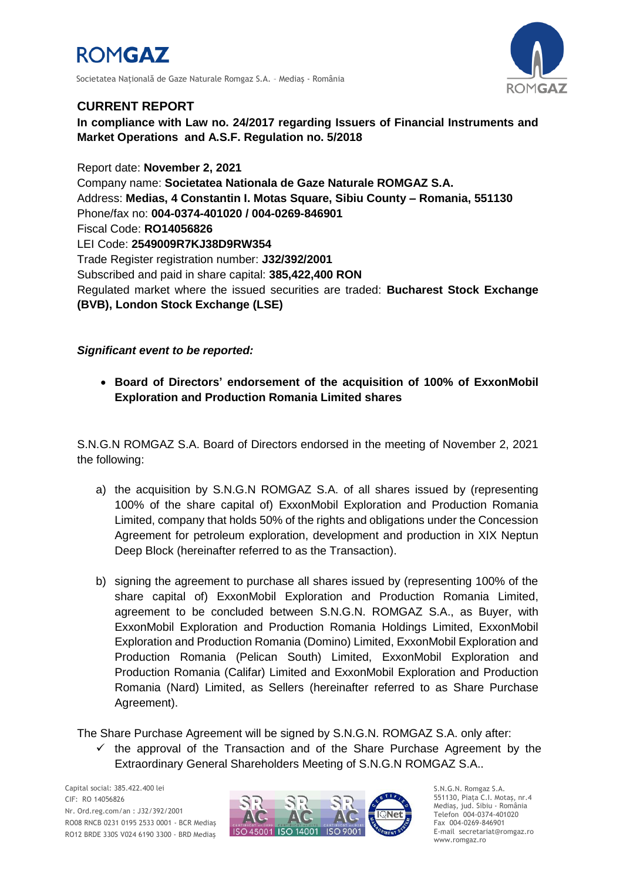

Societatea Natională de Gaze Naturale Romgaz S.A. - Medias - România



## **CURRENT REPORT**

**In compliance with Law no. 24/2017 regarding Issuers of Financial Instruments and Market Operations and A.S.F. Regulation no. 5/2018**

Report date: **November 2, 2021** Company name: **Societatea Nationala de Gaze Naturale ROMGAZ S.A.** Address: **Medias, 4 Constantin I. Motas Square, Sibiu County – Romania, 551130** Phone/fax no: **004-0374-401020 / 004-0269-846901** Fiscal Code: **RO14056826** LEI Code: **2549009R7KJ38D9RW354** Trade Register registration number: **J32/392/2001** Subscribed and paid in share capital: **385,422,400 RON** Regulated market where the issued securities are traded: **Bucharest Stock Exchange (BVB), London Stock Exchange (LSE)**

## *Significant event to be reported:*

 **Board of Directors' endorsement of the acquisition of 100% of ExxonMobil Exploration and Production Romania Limited shares**

S.N.G.N ROMGAZ S.A. Board of Directors endorsed in the meeting of November 2, 2021 the following:

- a) the acquisition by S.N.G.N ROMGAZ S.A. of all shares issued by (representing 100% of the share capital of) ExxonMobil Exploration and Production Romania Limited, company that holds 50% of the rights and obligations under the Concession Agreement for petroleum exploration, development and production in XIX Neptun Deep Block (hereinafter referred to as the Transaction).
- b) signing the agreement to purchase all shares issued by (representing 100% of the share capital of) ExxonMobil Exploration and Production Romania Limited, agreement to be concluded between S.N.G.N. ROMGAZ S.A., as Buyer, with ExxonMobil Exploration and Production Romania Holdings Limited, ExxonMobil Exploration and Production Romania (Domino) Limited, ExxonMobil Exploration and Production Romania (Pelican South) Limited, ExxonMobil Exploration and Production Romania (Califar) Limited and ExxonMobil Exploration and Production Romania (Nard) Limited, as Sellers (hereinafter referred to as Share Purchase Agreement).

The Share Purchase Agreement will be signed by S.N.G.N. ROMGAZ S.A. only after:

 $\checkmark$  the approval of the Transaction and of the Share Purchase Agreement by the Extraordinary General Shareholders Meeting of S.N.G.N ROMGAZ S.A..



S.N.G.N. Romgaz S.A. 551130, Piața C.I. Motaş, nr.4 Mediaş, jud. Sibiu - România Telefon 004-0374-401020 Fax 004-0269-846901 E-mail secretariat@romgaz.ro www.romgaz.ro